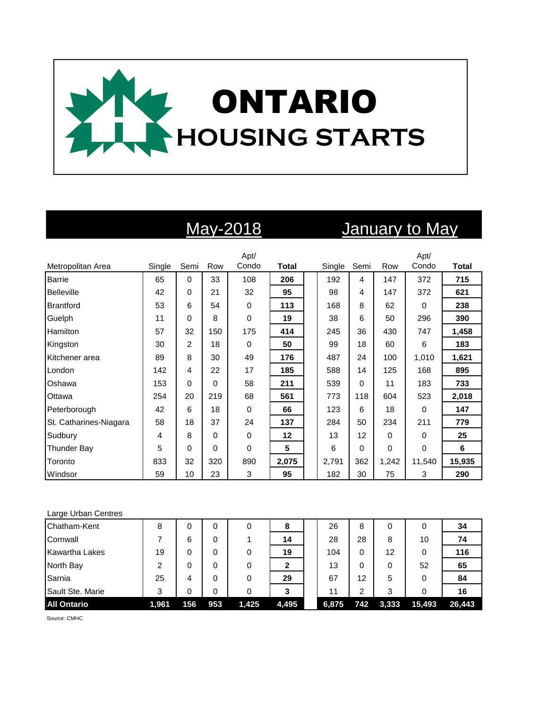

# May-2018 January to May

|                        |        |          |     | Apt/        |              |        |      |          | Apt/         |              |
|------------------------|--------|----------|-----|-------------|--------------|--------|------|----------|--------------|--------------|
| Metropolitan Area      | Single | Semi     | Row | Condo       | <b>Total</b> | Single | Semi | Row      | Condo        | <b>Total</b> |
| <b>Barrie</b>          | 65     | $\Omega$ | 33  | 108         | 206          | 192    | 4    | 147      | 372          | 715          |
| Belleville             | 42     | 0        | 21  | 32          | 95           | 98     | 4    | 147      | 372          | 621          |
| <b>Brantford</b>       | 53     | 6        | 54  | $\mathbf 0$ | 113          | 168    | 8    | 62       | 0            | 238          |
| Guelph                 | 11     | 0        | 8   | 0           | 19           | 38     | 6    | 50       | 296          | 390          |
| Hamilton               | 57     | 32       | 150 | 175         | 414          | 245    | 36   | 430      | 747          | 1,458        |
| Kingston               | 30     | 2        | 18  | $\Omega$    | 50           | 99     | 18   | 60       | 6            | 183          |
| Kitchener area         | 89     | 8        | 30  | 49          | 176          | 487    | 24   | 100      | 1,010        | 1,621        |
| London                 | 142    | 4        | 22  | 17          | 185          | 588    | 14   | 125      | 168          | 895          |
| Oshawa                 | 153    | $\Omega$ | 0   | 58          | 211          | 539    | 0    | 11       | 183          | 733          |
| Ottawa                 | 254    | 20       | 219 | 68          | 561          | 773    | 118  | 604      | 523          | 2,018        |
| Peterborough           | 42     | 6        | 18  | $\mathbf 0$ | 66           | 123    | 6    | 18       | 0            | 147          |
| St. Catharines-Niagara | 58     | 18       | 37  | 24          | 137          | 284    | 50   | 234      | 211          | 779          |
| Sudbury                | 4      | 8        | 0   | $\mathbf 0$ | 12           | 13     | 12   | $\Omega$ | 0            | 25           |
| <b>Thunder Bay</b>     | 5      | $\Omega$ | 0   | $\Omega$    | 5            | 6      | 0    | $\Omega$ | $\mathbf{0}$ | 6            |
| Toronto                | 833    | 32       | 320 | 890         | 2,075        | 2,791  | 362  | 1,242    | 11,540       | 15,935       |
| Windsor                | 59     | 10       | 23  | 3           | 95           | 182    | 30   | 75       | 3            | 290          |

### Large Urban Centres

| Chatham-Kent          | 8     | 0   | 0   |       | 8     | 26    | 8   |       |        | 34     |
|-----------------------|-------|-----|-----|-------|-------|-------|-----|-------|--------|--------|
| Cornwall              |       | 6   | 0   |       | 14    | 28    | 28  | 8     | 10     | 74     |
| <b>Kawartha Lakes</b> | 19    | 0   | 0   |       | 19    | 104   | 0   | 12    |        | 116    |
| North Bay             | 2     |     | 0   |       |       | 13    | 0   |       | 52     | 65     |
| Sarnia                | 25    | 4   | 0   |       | 29    | 67    | 12  | 5     |        | 84     |
| Sault Ste. Marie      | 3     |     | 0   |       | 3     | 11    | 2   | 3     |        | 16     |
| <b>All Ontario</b>    | 1,961 | 156 | 953 | 1,425 | 4,495 | 6,875 | 742 | 3,333 | 15,493 | 26,443 |

Source: CMHC